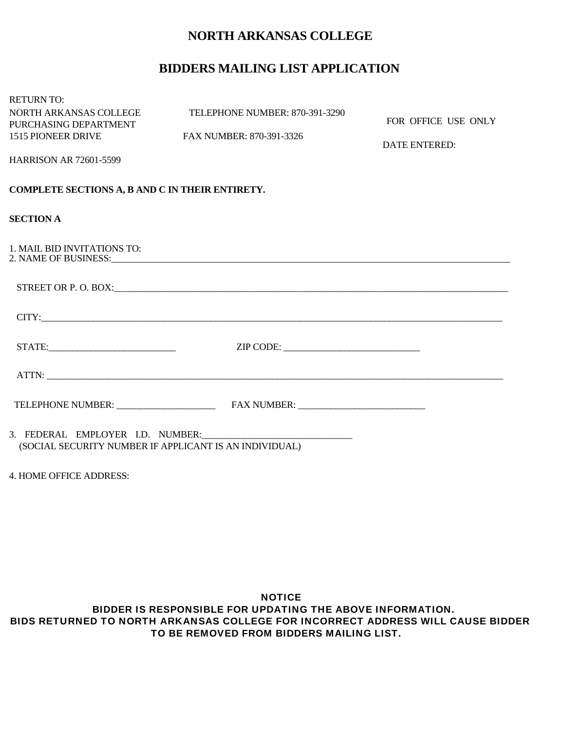# **NORTH ARKANSAS COLLEGE**

# **BIDDERS MAILING LIST APPLICATION**

| <b>RETURN TO:</b>                                      |                                |                      |
|--------------------------------------------------------|--------------------------------|----------------------|
| NORTH ARKANSAS COLLEGE                                 | TELEPHONE NUMBER: 870-391-3290 |                      |
| PURCHASING DEPARTMENT                                  |                                | FOR OFFICE USE ONLY  |
| <b>1515 PIONEER DRIVE</b>                              | FAX NUMBER: 870-391-3326       | <b>DATE ENTERED:</b> |
| <b>HARRISON AR 72601-5599</b>                          |                                |                      |
| COMPLETE SECTIONS A, B AND C IN THEIR ENTIRETY.        |                                |                      |
| <b>SECTION A</b>                                       |                                |                      |
| 1. MAIL BID INVITATIONS TO:                            |                                |                      |
|                                                        |                                |                      |
|                                                        |                                |                      |
|                                                        |                                |                      |
|                                                        |                                |                      |
|                                                        |                                |                      |
|                                                        |                                |                      |
| (SOCIAL SECURITY NUMBER IF APPLICANT IS AN INDIVIDUAL) |                                |                      |

4. HOME OFFICE ADDRESS:

#### NOTICE BIDDER IS RESPONSIBLE FOR UPDATING THE ABOVE INFORMATION. BIDS RETURNED TO NORTH ARKANSAS COLLEGE FOR INCORRECT ADDRESS WILL CAUSE BIDDER TO BE REMOVED FROM BIDDERS MAILING LIST.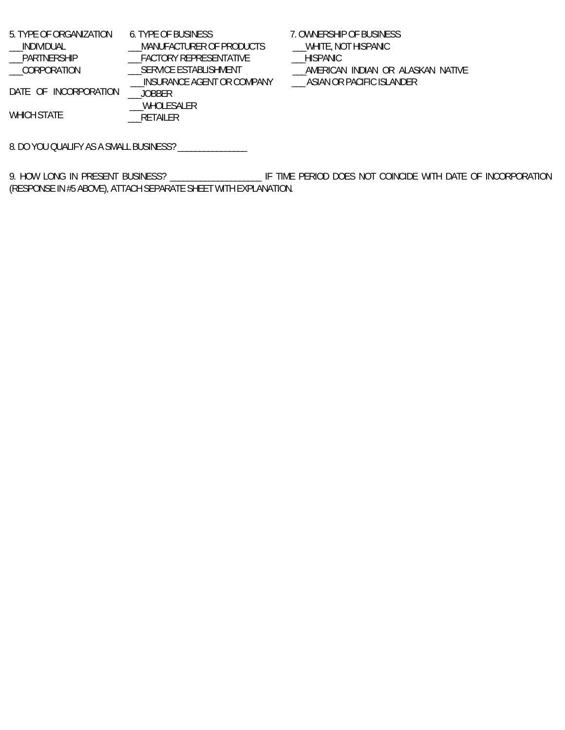5. TYPE OF ORGANIZATION \_\_\_INDIVIDUAL \_\_\_PARTNERSHIP \_\_\_CORPORATION DATE OF INCORPORATION WHICH STATE 6. TYPE OF BUSINESS \_\_\_MANUFACTURER OF PRODUCTS \_\_<br>\_\_FACTORY REPRESENTATIVE \_\_\_SERVICE ESTABLISHMENT \_\_\_INSURANCE AGENT OR COMPANY \_\_\_JOBBER \_\_\_WHOLESALER \_\_\_RETAILER 7. OWNERSHIP OF BUSINESS \_\_\_WHITE, NOT HISPANIC \_\_\_HISPANIC \_\_\_AMERICAN INDIAN OR ALASKAN NATIVE \_\_\_ ASIAN OR PACIFIC ISLANDER

8. DO YOU QUALIFY AS A SMALL BUSINESS? \_\_\_\_\_\_\_\_\_\_\_\_\_\_\_\_

9. HOW LONG IN PRESENT BUSINESS? \_\_\_\_\_\_\_\_\_\_\_\_\_\_\_\_\_\_\_\_\_\_ IF TIME PERIOD DOES NOT COINCIDE WITH DATE OF INCORPORATION (RESPONSE IN #5 ABOVE), ATTACH SEPARATE SHEET WITH EXPLANATION.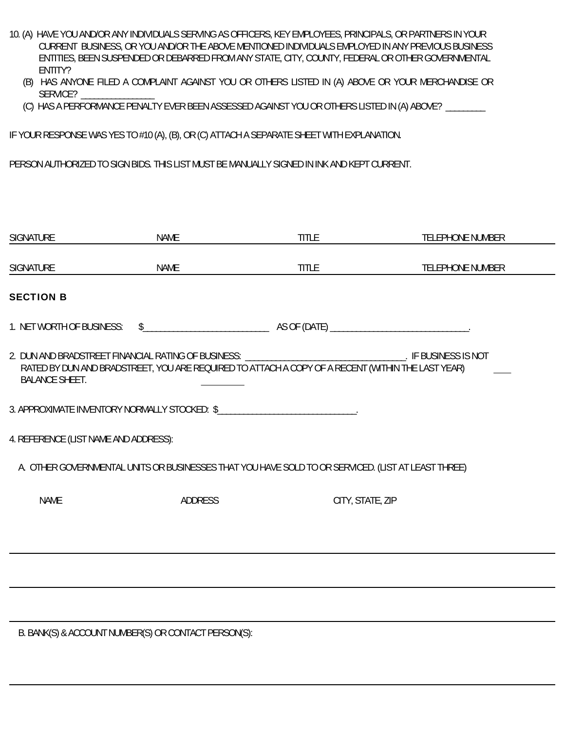- 10. (A) HAVE YOU AND/OR ANY INDIVIDUALS SERVING AS OFFICERS, KEY EMPLOYEES, PRINCIPALS, OR PARTNERS IN YOUR CURRENT BUSINESS, OR YOU AND/OR THE ABOVE MENTIONED INDIVIDUALS EMPLOYED IN ANY PREVIOUS BUSINESS ENTITIES, BEEN SUSPENDED OR DEBARRED FROM ANY STATE, CITY, COUNTY, FEDERAL OR OTHER GOVERNMENTAL ENTITY?
	- (B) HAS ANYONE FILED A COMPLAINT AGAINST YOU OR OTHERS LISTED IN (A) ABOVE OR YOUR MERCHANDISE OR SERVICE?
	- (C) HAS A PERFORMANCE PENALTY EVER BEEN ASSESSED AGAINST YOU OR OTHERS LISTED IN (A) ABOVE? \_\_\_\_\_\_\_\_\_

IF YOUR RESPONSE WAS YES TO #10 (A), (B), OR (C) ATTACH A SEPARATE SHEET WITH EXPLANATION.

PERSON AUTHORIZED TO SIGN BIDS. THIS LIST MUST BE MANUALLY SIGNED IN INK AND KEPT CURRENT.

| <b>SIGNATURE</b>                      | <b>NAME</b>    | <b>TITLE</b>                                                                                                                                                                                                  | <b>TELEPHONE NUMBER</b> |
|---------------------------------------|----------------|---------------------------------------------------------------------------------------------------------------------------------------------------------------------------------------------------------------|-------------------------|
| <b>SIGNATURE</b>                      | NAME           | <b>TITLE</b>                                                                                                                                                                                                  | <b>TELEPHONE NUMBER</b> |
| <b>SECTION B</b>                      |                |                                                                                                                                                                                                               |                         |
| 1. NET WORTH OF BUSINESS:             |                |                                                                                                                                                                                                               |                         |
| <b>BALANCE SHEET.</b>                 |                | 2. DUN AND BRADSTREET FINANCIAL RATING OF BUSINESS: ________________________________. IF BUSINESS IS NOT<br>RATED BY DUN AND BRADSTREET, YOU ARE REQUIRED TO ATTACH A COPY OF A RECENT (WITHIN THE LAST YEAR) |                         |
|                                       |                | 3. APPROXIMATE INVENTORY NORMALLY STOCKED: \$                                                                                                                                                                 |                         |
| 4. REFERENCE (LIST NAME AND ADDRESS): |                |                                                                                                                                                                                                               |                         |
|                                       |                | A. OTHER GOVERNMENTAL UNITS OR BUSINESSES THAT YOU HAVE SOLD TO OR SERVICED. (LIST AT LEAST THREE)                                                                                                            |                         |
| <b>NAME</b>                           | <b>ADDRESS</b> | CITY, STATE, ZIP                                                                                                                                                                                              |                         |
|                                       |                |                                                                                                                                                                                                               |                         |
|                                       |                |                                                                                                                                                                                                               |                         |
|                                       |                |                                                                                                                                                                                                               |                         |

B. BANK(S) & ACCOUNT NUMBER(S) OR CONTACT PERSON(S):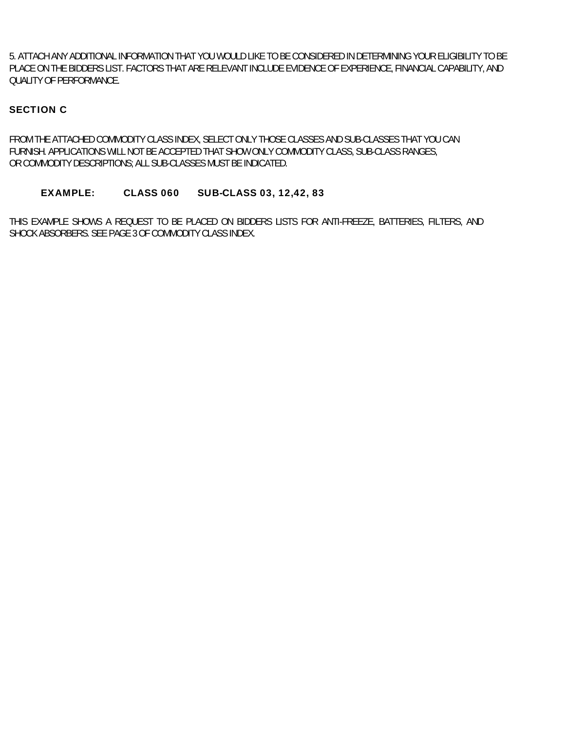5. ATTACH ANY ADDITIONAL INFORMATION THAT YOU WOULD LIKE TO BE CONSIDERED IN DETERMINING YOUR ELIGIBILITY TO BE PLACE ON THE BIDDERS LIST. FACTORS THAT ARE RELEVANT INCLUDE EVIDENCE OF EXPERIENCE, FINANCIAL CAPABILITY, AND QUALITY OF PERFORMANCE.

### SECTION C

FROM THE ATTACHED COMMODITY CLASS INDEX, SELECT ONLY THOSE CLASSES AND SUB-CLASSES THAT YOU CAN FURNISH. APPLICATIONS WILL NOT BE ACCEPTED THAT SHOW ONLY COMMODITY CLASS, SUB-CLASS RANGES, OR COMMODITY DESCRIPTIONS; ALL SUB-CLASSES MUST BE INDICATED.

#### EXAMPLE: CLASS 060 SUB-CLASS 03, 12,42, 83

THIS EXAMPLE SHOWS A REQUEST TO BE PLACED ON BIDDERS LISTS FOR ANTI-FREEZE, BATTERIES, FILTERS, AND SHOCK ABSORBERS. SEE PAGE 3 OF COMMODITY CLASS INDEX.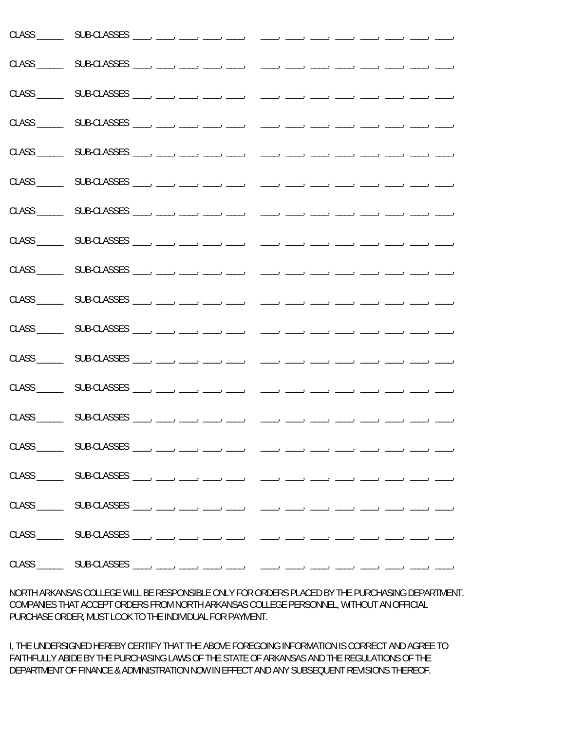NORTH ARKANSAS COLLEGE WILL BE RESPONSIBLE ONLY FOR ORDERS PLACED BY THE PURCHASING DEPARTMENT. COMPANIES THAT ACCEPT ORDERS FROM NORTH ARKANSAS COLLEGE PERSONNEL, WITHOUT AN OFFICIAL PURCHASE ORDER, MUST LOOK TO THE INDIVIDUAL FOR PAYMENT.

I, THE UNDERSIGNED HEREBY CERTIFY THAT THE ABOVE FOREGOING INFORMATION IS CORRECT AND AGREE TO FAITHFULLY ABIDE BY THE PURCHASING LAWS OF THE STATE OF ARKANSAS AND THE REGULATIONS OF THE DEPARTMENT OF FINANCE & ADMINISTRATION NOW IN EFFECT AND ANY SUBSEQUENT REVISIONS THEREOF.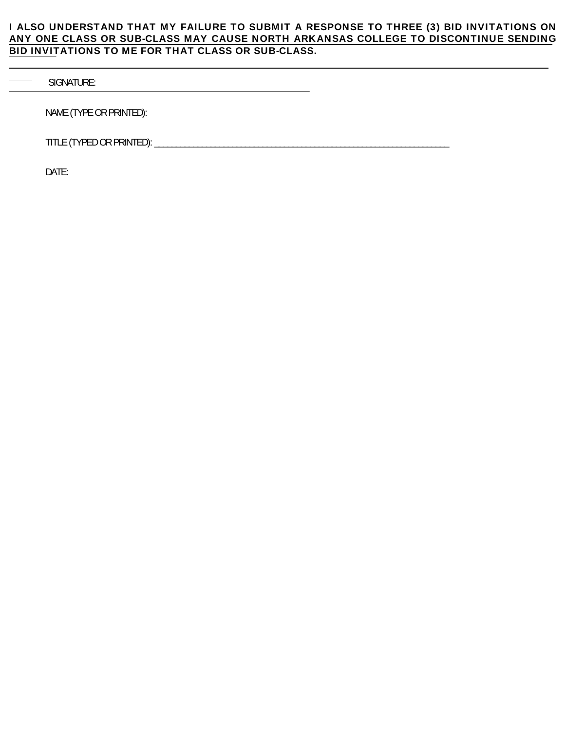## I ALSO UNDERSTAND THAT MY FAILURE TO SUBMIT A RESPONSE TO THREE (3) BID INVITATIONS ON ANY ONE CLASS OR SUB-CLASS MAY CAUSE NORTH ARKANSAS COLLEGE TO DISCONTINUE SENDING BID INVITATIONS TO ME FOR THAT CLASS OR SUB-CLASS.

SIGNATURE:

NAME (TYPE OR PRINTED):

TITLE (TYPED OR PRINTED): \_\_\_\_\_\_\_\_\_\_\_\_\_\_\_\_\_\_\_\_\_\_\_\_\_\_\_\_\_\_\_\_\_\_\_\_\_\_\_\_\_\_\_\_\_\_\_\_\_\_\_\_\_\_\_\_\_\_\_\_\_\_\_\_\_\_\_\_

DATE: